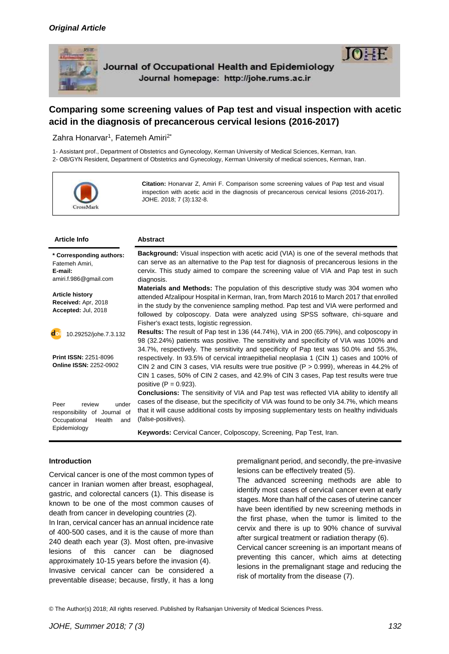

# **Comparing some screening values of Pap test and visual inspection with acetic acid in the diagnosis of precancerous cervical lesions (2016-2017)**

Zahra Honarvar<sup>1</sup>, Fatemeh Amiri<sup>2\*</sup>

1- Assistant prof., Department of Obstetrics and Gynecology, Kerman University of Medical Sciences, Kerman, Iran. 2- OB/GYN Resident, Department of Obstetrics and Gynecology, Kerman University of medical sciences, Kerman, Iran.



**Citation:** Honarvar Z, Amiri F. Comparison some screening values of Pap test and visual inspection with acetic acid in the diagnosis of precancerous cervical lesions (2016-2017). JOHE. 2018; 7 (3):132-8.

| <b>Article Info</b>                                                                                      | <b>Abstract</b>                                                                                                                                                                                                                                                                                                                                                                                                  |
|----------------------------------------------------------------------------------------------------------|------------------------------------------------------------------------------------------------------------------------------------------------------------------------------------------------------------------------------------------------------------------------------------------------------------------------------------------------------------------------------------------------------------------|
| * Corresponding authors:<br>Fatemeh Amiri,<br>E-mail:<br>amiri.f.986@gmail.com                           | <b>Background:</b> Visual inspection with acetic acid (VIA) is one of the several methods that<br>can serve as an alternative to the Pap test for diagnosis of precancerous lesions in the<br>cervix. This study aimed to compare the screening value of VIA and Pap test in such<br>diagnosis.                                                                                                                  |
| <b>Article history</b><br>Received: Apr, 2018<br>Accepted: Jul, 2018                                     | <b>Materials and Methods:</b> The population of this descriptive study was 304 women who<br>attended Afzalipour Hospital in Kerman, Iran, from March 2016 to March 2017 that enrolled<br>in the study by the convenience sampling method. Pap test and VIA were performed and<br>followed by colposcopy. Data were analyzed using SPSS software, chi-square and<br>Fisher's exact tests, logistic regression.    |
| 10.29252/johe.7.3.132                                                                                    | <b>Results:</b> The result of Pap test in 136 (44.74%), VIA in 200 (65.79%), and colposcopy in<br>98 (32.24%) patients was positive. The sensitivity and specificity of VIA was 100% and<br>34.7%, respectively. The sensitivity and specificity of Pap test was 50.0% and 55.3%,                                                                                                                                |
| <b>Print ISSN: 2251-8096</b><br><b>Online ISSN: 2252-0902</b>                                            | respectively. In 93.5% of cervical intraepithelial neoplasia 1 (CIN 1) cases and 100% of<br>CIN 2 and CIN 3 cases, VIA results were true positive ( $P > 0.999$ ), whereas in 44.2% of<br>CIN 1 cases, 50% of CIN 2 cases, and 42.9% of CIN 3 cases, Pap test results were true<br>positive $(P = 0.923)$ .<br><b>Conclusions:</b> The sensitivity of VIA and Pap test was reflected VIA ability to identify all |
| Peer<br>review<br>under<br>responsibility of Journal of<br>Occupational<br>Health<br>and<br>Epidemiology | cases of the disease, but the specificity of VIA was found to be only 34.7%, which means<br>that it will cause additional costs by imposing supplementary tests on healthy individuals<br>(false-positives).                                                                                                                                                                                                     |
|                                                                                                          | Keywords: Cervical Cancer, Colposcopy, Screening, Pap Test, Iran.                                                                                                                                                                                                                                                                                                                                                |

#### **Introduction**

Cervical cancer is one of the most common types of cancer in Iranian women after breast, esophageal, gastric, and colorectal cancers (1). This disease is known to be one of the most common causes of death from cancer in developing countries (2).

In Iran, cervical cancer has an annual incidence rate of 400-500 cases, and it is the cause of more than 240 death each year (3). Most often, pre-invasive lesions of this cancer can be diagnosed approximately 10-15 years before the invasion (4). Invasive cervical cancer can be considered a preventable disease; because, firstly, it has a long premalignant period, and secondly, the pre-invasive lesions can be effectively treated (5).

The advanced screening methods are able to identify most cases of cervical cancer even at early stages. More than half of the cases of uterine cancer have been identified by new screening methods in the first phase, when the tumor is limited to the cervix and there is up to 90% chance of survival after surgical treatment or radiation therapy (6).

Cervical cancer screening is an important means of preventing this cancer, which aims at detecting lesions in the premalignant stage and reducing the risk of mortality from the disease (7).

© The Author(s) 2018; All rights reserved. Published by Rafsanjan University of Medical Sciences Press.

TO: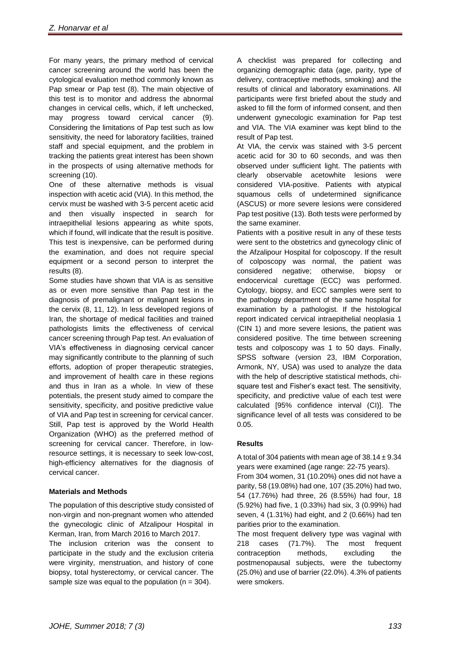For many years, the primary method of cervical cancer screening around the world has been the cytological evaluation method commonly known as Pap smear or Pap test (8). The main objective of this test is to monitor and address the abnormal changes in cervical cells, which, if left unchecked, may progress toward cervical cancer (9). Considering the limitations of Pap test such as low sensitivity, the need for laboratory facilities, trained staff and special equipment, and the problem in tracking the patients great interest has been shown in the prospects of using alternative methods for screening (10).

One of these alternative methods is visual inspection with acetic acid (VIA). In this method, the cervix must be washed with 3-5 percent acetic acid and then visually inspected in search for intraepithelial lesions appearing as white spots, which if found, will indicate that the result is positive. This test is inexpensive, can be performed during the examination, and does not require special equipment or a second person to interpret the results (8).

Some studies have shown that VIA is as sensitive as or even more sensitive than Pap test in the diagnosis of premalignant or malignant lesions in the cervix (8, 11, 12). In less developed regions of Iran, the shortage of medical facilities and trained pathologists limits the effectiveness of cervical cancer screening through Pap test. An evaluation of VIA's effectiveness in diagnosing cervical cancer may significantly contribute to the planning of such efforts, adoption of proper therapeutic strategies, and improvement of health care in these regions and thus in Iran as a whole. In view of these potentials, the present study aimed to compare the sensitivity, specificity, and positive predictive value of VIA and Pap test in screening for cervical cancer. Still, Pap test is approved by the World Health Organization (WHO) as the preferred method of screening for cervical cancer. Therefore, in lowresource settings, it is necessary to seek low-cost, high-efficiency alternatives for the diagnosis of cervical cancer.

### **Materials and Methods**

The population of this descriptive study consisted of non-virgin and non-pregnant women who attended the gynecologic clinic of Afzalipour Hospital in Kerman, Iran, from March 2016 to March 2017.

The inclusion criterion was the consent to participate in the study and the exclusion criteria were virginity, menstruation, and history of cone biopsy, total hysterectomy, or cervical cancer. The sample size was equal to the population ( $n = 304$ ).

A checklist was prepared for collecting and organizing demographic data (age, parity, type of delivery, contraceptive methods, smoking) and the results of clinical and laboratory examinations. All participants were first briefed about the study and asked to fill the form of informed consent, and then underwent gynecologic examination for Pap test and VIA. The VIA examiner was kept blind to the result of Pap test.

At VIA, the cervix was stained with 3-5 percent acetic acid for 30 to 60 seconds, and was then observed under sufficient light. The patients with clearly observable acetowhite lesions were considered VIA-positive. Patients with atypical squamous cells of undetermined significance (ASCUS) or more severe lesions were considered Pap test positive (13). Both tests were performed by the same examiner.

Patients with a positive result in any of these tests were sent to the obstetrics and gynecology clinic of the Afzalipour Hospital for colposcopy. If the result of colposcopy was normal, the patient was considered negative; otherwise, biopsy or endocervical curettage (ECC) was performed. Cytology, biopsy, and ECC samples were sent to the pathology department of the same hospital for examination by a pathologist. If the histological report indicated cervical intraepithelial neoplasia 1 (CIN 1) and more severe lesions, the patient was considered positive. The time between screening tests and colposcopy was 1 to 50 days. Finally, SPSS software (version 23, IBM Corporation, Armonk, NY, USA) was used to analyze the data with the help of descriptive statistical methods, chisquare test and Fisher's exact test. The sensitivity, specificity, and predictive value of each test were calculated [95% confidence interval (CI)]. The significance level of all tests was considered to be 0.05.

## **Results**

A total of 304 patients with mean age of  $38.14 \pm 9.34$ years were examined (age range: 22-75 years).

From 304 women, 31 (10.20%) ones did not have a parity, 58 (19.08%) had one, 107 (35.20%) had two, 54 (17.76%) had three, 26 (8.55%) had four, 18 (5.92%) had five, 1 (0.33%) had six, 3 (0.99%) had seven, 4 (1.31%) had eight, and 2 (0.66%) had ten parities prior to the examination.

The most frequent delivery type was vaginal with 218 cases (71.7%). The most frequent contraception methods, excluding the postmenopausal subjects, were the tubectomy (25.0%) and use of barrier (22.0%). 4.3% of patients were smokers.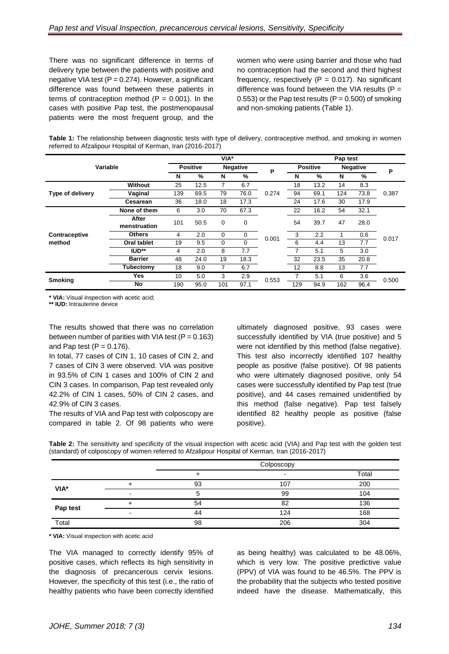There was no significant difference in terms of delivery type between the patients with positive and negative VIA test ( $P = 0.274$ ). However, a significant difference was found between these patients in terms of contraception method ( $P = 0.001$ ). In the cases with positive Pap test, the postmenopausal patients were the most frequent group, and the women who were using barrier and those who had no contraception had the second and third highest frequency, respectively  $(P = 0.017)$ . No significant difference was found between the VIA results ( $P =$ 0.553) or the Pap test results ( $P = 0.500$ ) of smoking and non-smoking patients (Table 1).

|                                                             | Table 1: The relationship between diagnostic tests with type of delivery, contraceptive method, and smoking in women |
|-------------------------------------------------------------|----------------------------------------------------------------------------------------------------------------------|
| referred to Afzalipour Hospital of Kerman, Iran (2016-2017) |                                                                                                                      |

|                  |                    | $VIA*$          |      |             |                 |       | Pap test        |               |     |                 |       |  |
|------------------|--------------------|-----------------|------|-------------|-----------------|-------|-----------------|---------------|-----|-----------------|-------|--|
| Variable         |                    | <b>Positive</b> |      |             | <b>Negative</b> | P     | <b>Positive</b> |               |     | <b>Negative</b> |       |  |
|                  |                    | N               | %    | N           | %               |       | N               | $\frac{9}{6}$ | N   | %               | P     |  |
|                  | Without            | 25              | 12.5 |             | 6.7             |       | 18              | 13.2          | 14  | 8.3             |       |  |
| Type of delivery | Vaginal            | 139             | 69.5 | 79          | 76.0            | 0.274 | 94              | 69.1          | 124 | 73.8            | 0.387 |  |
|                  | <b>Cesarean</b>    | 36              | 18.0 | 18          | 17.3            |       | 24              | 17.6          | 30  | 17.9            |       |  |
|                  | None of them       | 6               | 3.0  | 70          | 67.3            | 0.001 | 22              | 16.2          | 54  | 32.1            | 0.017 |  |
|                  | After              | 101             | 50.5 | $\mathbf 0$ | 0               |       | 54              | 39.7          | 47  | 28.0            |       |  |
|                  | menstruation       |                 |      |             |                 |       |                 |               |     |                 |       |  |
| Contraceptive    | <b>Others</b>      | 4               | 2.0  | $\mathbf 0$ | 0               |       | 3               | 2.2           | 1   | 0.6             |       |  |
| method           | <b>Oral tablet</b> | 19              | 9.5  | 0           | 0               |       | 6               | 4.4           | 13  | 7.7             |       |  |
|                  | IUD**              | 4               | 2.0  | 8           | 7.7             |       | 7               | 5.1           | 5   | 3.0             |       |  |
|                  | <b>Barrier</b>     | 48              | 24.0 | 19          | 18.3            |       | 32              | 23.5          | 35  | 20.8            |       |  |
|                  | Tubectomy          | 18              | 9.0  | 7           | 6.7             |       | 12              | 8.8           | 13  | 7.7             |       |  |
| <b>Smoking</b>   | <b>Yes</b>         | 10              | 5.0  | 3           | 2.9             |       | 7               | 5.1           | 6   | 3.6             | 0.500 |  |
|                  | <b>No</b>          | 190             | 95.0 | 101         | 97.1            | 0.553 | 129             | 94.9          | 162 | 96.4            |       |  |

**\* VIA:** Visual inspection with acetic acid;

**\*\* IUD:** Intrauterine device

The results showed that there was no correlation between number of parities with VIA test  $(P = 0.163)$ and Pap test  $(P = 0.176)$ .

In total, 77 cases of CIN 1, 10 cases of CIN 2, and 7 cases of CIN 3 were observed. VIA was positive in 93.5% of CIN 1 cases and 100% of CIN 2 and CIN 3 cases. In comparison, Pap test revealed only 42.2% of CIN 1 cases, 50% of CIN 2 cases, and 42.9% of CIN 3 cases.

The results of VIA and Pap test with colposcopy are compared in table 2. Of 98 patients who were ultimately diagnosed positive, 93 cases were successfully identified by VIA (true positive) and 5 were not identified by this method (false negative). This test also incorrectly identified 107 healthy people as positive (false positive). Of 98 patients who were ultimately diagnosed positive, only 54 cases were successfully identified by Pap test (true positive), and 44 cases remained unidentified by this method (false negative). Pap test falsely identified 82 healthy people as positive (false positive).

|  | Table 2: The sensitivity and specificity of the visual inspection with acetic acid (VIA) and Pap test with the golden test |  |  |  |  |  |  |  |  |  |
|--|----------------------------------------------------------------------------------------------------------------------------|--|--|--|--|--|--|--|--|--|
|  | (standard) of colposcopy of women referred to Afzalipour Hospital of Kerman, Iran (2016-2017)                              |  |  |  |  |  |  |  |  |  |

|          |   | Colposcopy |     |       |  |  |
|----------|---|------------|-----|-------|--|--|
|          |   |            |     | Total |  |  |
| VIA*     |   | 93         | 107 | 200   |  |  |
|          | ۰ |            | 99  | 104   |  |  |
| Pap test |   | 54         | 82  | 136   |  |  |
|          |   | 44         | 124 | 168   |  |  |
| Total    |   | 98         | 206 | 304   |  |  |

**\* VIA:** Visual inspection with acetic acid

The VIA managed to correctly identify 95% of positive cases, which reflects its high sensitivity in the diagnosis of precancerous cervix lesions. However, the specificity of this test (i.e., the ratio of healthy patients who have been correctly identified as being healthy) was calculated to be 48.06%, which is very low. The positive predictive value (PPV) of VIA was found to be 46.5%. The PPV is the probability that the subjects who tested positive indeed have the disease. Mathematically, this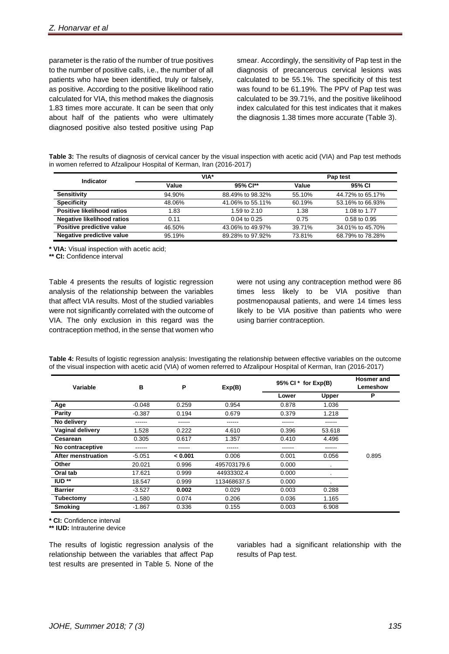parameter is the ratio of the number of true positives to the number of positive calls, i.e., the number of all patients who have been identified, truly or falsely, as positive. According to the positive likelihood ratio calculated for VIA, this method makes the diagnosis 1.83 times more accurate. It can be seen that only about half of the patients who were ultimately diagnosed positive also tested positive using Pap smear. Accordingly, the sensitivity of Pap test in the diagnosis of precancerous cervical lesions was calculated to be 55.1%. The specificity of this test was found to be 61.19%. The PPV of Pap test was calculated to be 39.71%, and the positive likelihood index calculated for this test indicates that it makes the diagnosis 1.38 times more accurate (Table 3).

**Table 3:** The results of diagnosis of cervical cancer by the visual inspection with acetic acid (VIA) and Pap test methods in women referred to Afzalipour Hospital of Kerman, Iran (2016-2017)

| Indicator                         |        | VIA*             | Pap test |                  |  |  |
|-----------------------------------|--------|------------------|----------|------------------|--|--|
|                                   | Value  | 95% Cl**         | Value    | 95% CI           |  |  |
| <b>Sensitivity</b>                | 94.90% | 88.49% to 98.32% | 55.10%   | 44.72% to 65.17% |  |  |
| <b>Specificity</b>                | 48.06% | 41.06% to 55.11% | 60.19%   | 53.16% to 66.93% |  |  |
| <b>Positive likelihood ratios</b> | 1.83   | 1.59 to 2.10     | 1.38     | 1.08 to 1.77     |  |  |
| <b>Negative likelihood ratios</b> | 0.11   | $0.04$ to $0.25$ | 0.75     | $0.58$ to $0.95$ |  |  |
| Positive predictive value         | 46.50% | 43.06% to 49.97% | 39.71%   | 34.01% to 45.70% |  |  |
| Negative predictive value         | 95.19% | 89.28% to 97.92% | 73.81%   | 68.79% to 78.28% |  |  |

**\* VIA:** Visual inspection with acetic acid;

**\*\* CI:** Confidence interval

Table 4 presents the results of logistic regression analysis of the relationship between the variables that affect VIA results. Most of the studied variables were not significantly correlated with the outcome of VIA. The only exclusion in this regard was the contraception method, in the sense that women who

were not using any contraception method were 86 times less likely to be VIA positive than postmenopausal patients, and were 14 times less likely to be VIA positive than patients who were using barrier contraception.

| Table 4: Results of logistic regression analysis: Investigating the relationship between effective variables on the outcome |  |  |  |
|-----------------------------------------------------------------------------------------------------------------------------|--|--|--|
| of the visual inspection with acetic acid (VIA) of women referred to Afzalipour Hospital of Kerman, Iran (2016-2017)        |  |  |  |

| Variable                | В        | P       | Exp(B)      | 95% Cl $*$ for $Exp(B)$ | <b>Hosmer</b> and<br>Lemeshow |       |
|-------------------------|----------|---------|-------------|-------------------------|-------------------------------|-------|
|                         |          |         |             | Lower                   | <b>Upper</b>                  | P     |
| Age                     | $-0.048$ | 0.259   | 0.954       | 0.878                   | 1.036                         |       |
| <b>Parity</b>           | $-0.387$ | 0.194   | 0.679       | 0.379                   | 1.218                         |       |
| No delivery             |          | ------  | ------      | ------                  | ------                        |       |
| <b>Vaginal delivery</b> | 1.528    | 0.222   | 4.610       | 0.396                   | 53.618                        |       |
| <b>Cesarean</b>         | 0.305    | 0.617   | 1.357       | 0.410                   | 4.496                         |       |
| No contraceptive        | ------   | ------  | ------      | ------                  | ------                        |       |
| After menstruation      | $-5.051$ | < 0.001 | 0.006       | 0.001                   | 0.056                         | 0.895 |
| <b>Other</b>            | 20.021   | 0.996   | 495703179.6 | 0.000                   |                               |       |
| Oral tab                | 17.621   | 0.999   | 44933302.4  | 0.000                   |                               |       |
| $ID**$                  | 18.547   | 0.999   | 113468637.5 | 0.000                   |                               |       |
| <b>Barrier</b>          | $-3.527$ | 0.002   | 0.029       | 0.003                   | 0.288                         |       |
| Tubectomy               | $-1.580$ | 0.074   | 0.206       | 0.036                   | 1.165                         |       |
| <b>Smoking</b>          | $-1.867$ | 0.336   | 0.155       | 0.003                   | 6.908                         |       |

**\* CI:** Confidence interval

**\*\* IUD:** Intrauterine device

The results of logistic regression analysis of the relationship between the variables that affect Pap test results are presented in Table 5. None of the

variables had a significant relationship with the results of Pap test.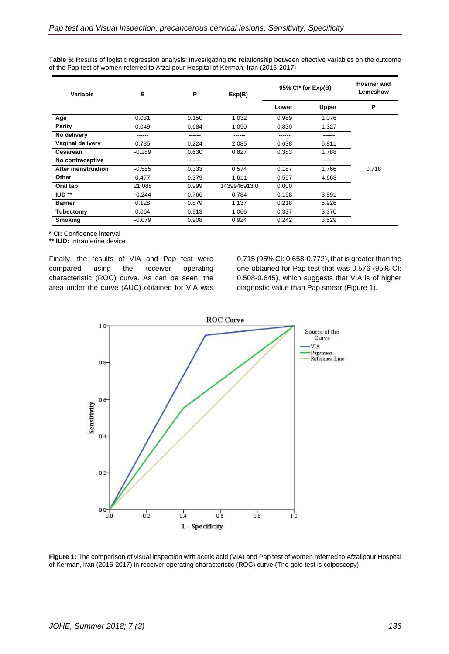| Variable                | B        | P      | Exp(B)       | 95% Cl* for Exp(B) | <b>Hosmer</b> and<br>Lemeshow |       |
|-------------------------|----------|--------|--------------|--------------------|-------------------------------|-------|
|                         |          |        |              | Lower              | <b>Upper</b>                  | P     |
| Age                     | 0.031    | 0.150  | 1.032        | 0.989              | 1.076                         |       |
| <b>Parity</b>           | 0.049    | 0.684  | 1.050        | 0.830              | 1.327                         |       |
| No delivery             | ------   | ------ | ------       | ------             | ------                        |       |
| <b>Vaginal delivery</b> | 0.735    | 0.224  | 2.085        | 0.638              | 6.811                         |       |
| <b>Cesarean</b>         | $-0.189$ | 0.630  | 0.827        | 0.383              | 1.788                         |       |
| No contraceptive        | ------   | ------ | ------       | ------             | ------                        |       |
| After menstruation      | $-0.555$ | 0.333  | 0.574        | 0.187              | 1.766                         | 0.718 |
| <b>Other</b>            | 0.477    | 0.379  | 1.611        | 0.557              | 4.663                         |       |
| Oral tab                | 21.088   | 0.999  | 1439946913.0 | 0.000              | ٠                             |       |
| $ID**$                  | $-0.244$ | 0.766  | 0.784        | 0.158              | 3.891                         |       |
| <b>Barrier</b>          | 0.128    | 0.879  | 1.137        | 0.218              | 5.926                         |       |
| Tubectomy               | 0.064    | 0.913  | 1.066        | 0.337              | 3.370                         |       |
| <b>Smoking</b>          | $-0.079$ | 0.908  | 0.924        | 0.242              | 3.529                         |       |

**Table 5:** Results of logistic regression analysis: Investigating the relationship between effective variables on the outcome of the Pap test of women referred to Afzalipour Hospital of Kerman, Iran (2016-2017)

**\* CI:** Confidence interval

**\*\* IUD:** Intrauterine device

Finally, the results of VIA and Pap test were compared using the receiver operating characteristic (ROC) curve. As can be seen, the area under the curve (AUC) obtained for VIA was 0.715 (95% CI: 0.658-0.772), that is greater than the one obtained for Pap test that was 0.576 (95% CI: 0.508-0.645), which suggests that VIA is of higher diagnostic value than Pap smear (Figure 1).



**Figure 1:** The comparison of visual inspection with acetic acid (VIA) and Pap test of women referred to Afzalipour Hospital of Kerman, Iran (2016-2017) in receiver operating characteristic (ROC) curve (The gold test is colposcopy)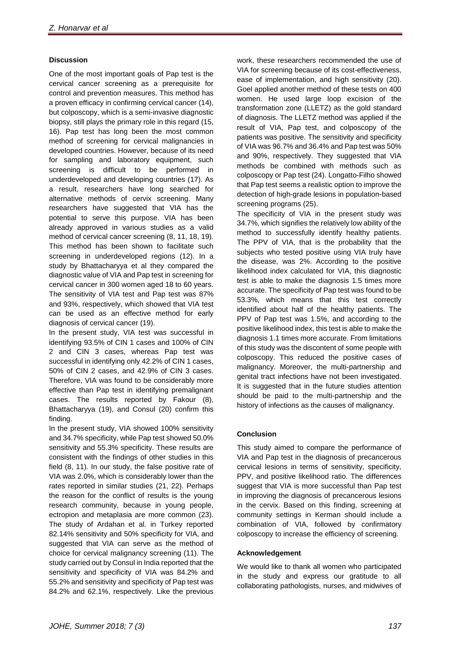### **Discussion**

One of the most important goals of Pap test is the cervical cancer screening as a prerequisite for control and prevention measures. This method has a proven efficacy in confirming cervical cancer (14), but colposcopy, which is a semi-invasive diagnostic biopsy, still plays the primary role in this regard (15, 16). Pap test has long been the most common method of screening for cervical malignancies in developed countries. However, because of its need for sampling and laboratory equipment, such screening is difficult to be performed in underdeveloped and developing countries (17). As a result, researchers have long searched for alternative methods of cervix screening. Many researchers have suggested that VIA has the potential to serve this purpose. VIA has been already approved in various studies as a valid method of cervical cancer screening (8, 11, 18, 19). This method has been shown to facilitate such screening in underdeveloped regions (12). In a study by Bhattacharyya et al they compared the diagnostic value of VIA and Pap test in screening for cervical cancer in 300 women aged 18 to 60 years. The sensitivity of VIA test and Pap test was 87% and 93%, respectively, which showed that VIA test can be used as an effective method for early diagnosis of cervical cancer (19).

In the present study, VIA test was successful in identifying 93.5% of CIN 1 cases and 100% of CIN 2 and CIN 3 cases, whereas Pap test was successful in identifying only 42.2% of CIN 1 cases, 50% of CIN 2 cases, and 42.9% of CIN 3 cases. Therefore, VIA was found to be considerably more effective than Pap test in identifying premalignant cases. The results reported by Fakour (8), Bhattacharyya (19), and Consul (20) confirm this finding.

In the present study, VIA showed 100% sensitivity and 34.7% specificity, while Pap test showed 50.0% sensitivity and 55.3% specificity. These results are consistent with the findings of other studies in this field (8, 11). In our study, the false positive rate of VIA was 2.0%, which is considerably lower than the rates reported in similar studies (21, 22). Perhaps the reason for the conflict of results is the young research community, because in young people, ectropion and metaplasia are more common (23). The study of Ardahan et al. in Turkey reported 82.14% sensitivity and 50% specificity for VIA, and suggested that VIA can serve as the method of choice for cervical malignancy screening (11). The study carried out by Consul in India reported that the sensitivity and specificity of VIA was 84.2% and 55.2% and sensitivity and specificity of Pap test was 84.2% and 62.1%, respectively. Like the previous

work, these researchers recommended the use of VIA for screening because of its cost-effectiveness, ease of implementation, and high sensitivity (20). Goel applied another method of these tests on 400 women. He used large loop excision of the transformation zone (LLETZ) as the gold standard of diagnosis. The LLETZ method was applied if the result of VIA, Pap test, and colposcopy of the patients was positive. The sensitivity and specificity of VIA was 96.7% and 36.4% and Pap test was 50% and 90%, respectively. They suggested that VIA methods be combined with methods such as colposcopy or Pap test (24). Longatto-Filho showed that Pap test seems a realistic option to improve the detection of high-grade lesions in population-based screening programs (25).

The specificity of VIA in the present study was 34.7%, which signifies the relatively low ability of the method to successfully identify healthy patients. The PPV of VIA, that is the probability that the subjects who tested positive using VIA truly have the disease, was 2%. According to the positive likelihood index calculated for VIA, this diagnostic test is able to make the diagnosis 1.5 times more accurate. The specificity of Pap test was found to be 53.3%, which means that this test correctly identified about half of the healthy patients. The PPV of Pap test was 1.5%, and according to the positive likelihood index, this test is able to make the diagnosis 1.1 times more accurate. From limitations of this study was the discontent of some people with colposcopy. This reduced the positive cases of malignancy. Moreover, the multi-partnership and genital tract infections have not been investigated. It is suggested that in the future studies attention should be paid to the multi-partnership and the history of infections as the causes of malignancy.

### **Conclusion**

This study aimed to compare the performance of VIA and Pap test in the diagnosis of precancerous cervical lesions in terms of sensitivity, specificity, PPV, and positive likelihood ratio. The differences suggest that VIA is more successful than Pap test in improving the diagnosis of precancerous lesions in the cervix. Based on this finding, screening at community settings in Kerman should include a combination of VIA, followed by confirmatory colposcopy to increase the efficiency of screening.

#### **Acknowledgement**

We would like to thank all women who participated in the study and express our gratitude to all collaborating pathologists, nurses, and midwives of